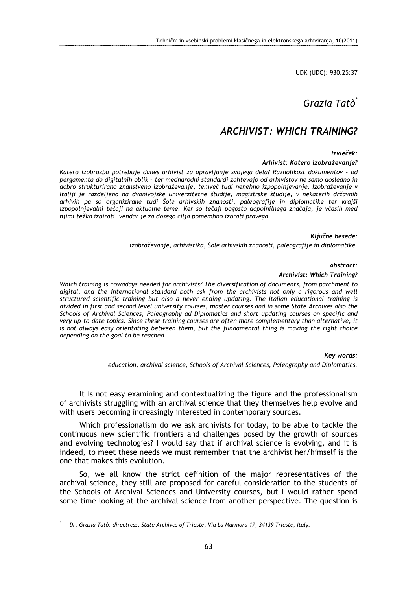UDK (UDC): 930.25:37

# Grazia Tatò<sup>\*</sup>

# ARCHIVIST: WHICH TRAINING?

Izvleček:

#### Arhivist: Katero izobraževanje?

Katero izobrazbo potrebuje danes arhivist za opravljanje svojega dela? Raznolikost dokumentov – od pergamenta do digitalnih oblik – ter mednarodni standardi zahtevajo od arhivistov ne samo dosledno in dobro strukturirano znanstveno izobraževanje, temveč tudi nenehno izpopolnjevanje. Izobraževanje v Italiji je razdeljeno na dvonivojske univerzitetne študije, magistrske študije, v nekaterih državnih arhivih pa so organizirane tudi Šole arhivskih znanosti, paleografije in diplomatike ter krajši izpopolnjevalni tečaji na aktualne teme. Ker so tečaji pogosto dopolnilnega značaja, je včasih med njimi težko izbirati, vendar je za dosego cilja pomembno izbrati pravega.

Ključne besede:

izobraževanje, arhivistika, Šole arhivskih znanosti, paleografije in diplomatike.

Abstract:

#### Archivist: Which Training?

Which training is nowadays needed for archivists? The diversification of documents, from parchment to digital, and the international standard both ask from the archivists not only a rigorous and well structured scientific training but also a never ending updating. The Italian educational training is divided in first and second level university courses, master courses and in some State Archives also the Schools of Archival Sciences, Paleography ad Diplomatics and short updating courses on specific and very up-to-date topics. Since these training courses are often more complementary than alternative, it is not always easy orientating between them, but the fundamental thing is making the right choice depending on the goal to be reached.

Key words:

education, archival science, Schools of Archival Sciences, Paleography and Diplomatics.

It is not easy examining and contextualizing the figure and the professionalism of archivists struggling with an archival science that they themselves help evolve and with users becoming increasingly interested in contemporary sources.

Which professionalism do we ask archivists for today, to be able to tackle the continuous new scientific frontiers and challenges posed by the growth of sources and evolving technologies? I would say that if archival science is evolving, and it is indeed, to meet these needs we must remember that the archivist her/himself is the one that makes this evolution.

So, we all know the strict definition of the major representatives of the archival science, they still are proposed for careful consideration to the students of the Schools of Archival Sciences and University courses, but I would rather spend some time looking at the archival science from another perspective. The question is

 $\overline{a}$ 

<sup>\*</sup> Dr. Grazia Tatò, directress, State Archives of Trieste, Via La Marmora 17, 34139 Trieste, Italy.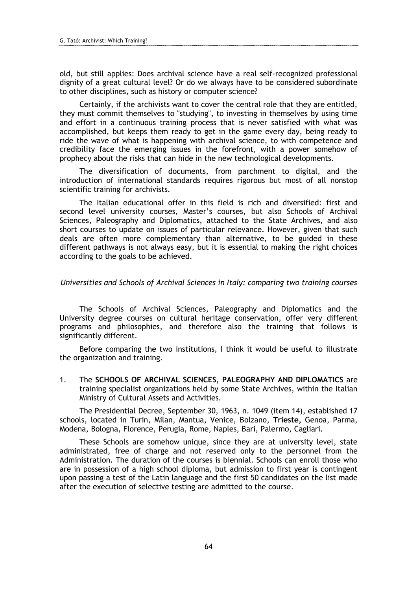old, but still applies: Does archival science have a real self-recognized professional dignity of a great cultural level? Or do we always have to be considered subordinate to other disciplines, such as history or computer science?

Certainly, if the archivists want to cover the central role that they are entitled, they must commit themselves to "studying", to investing in themselves by using time and effort in a continuous training process that is never satisfied with what was accomplished, but keeps them ready to get in the game every day, being ready to ride the wave of what is happening with archival science, to with competence and credibility face the emerging issues in the forefront, with a power somehow of prophecy about the risks that can hide in the new technological developments.

The diversification of documents, from parchment to digital, and the introduction of international standards requires rigorous but most of all nonstop scientific training for archivists.

The Italian educational offer in this field is rich and diversified: first and second level university courses, Master's courses, but also Schools of Archival Sciences, Paleography and Diplomatics, attached to the State Archives, and also short courses to update on issues of particular relevance. However, given that such deals are often more complementary than alternative, to be guided in these different pathways is not always easy, but it is essential to making the right choices according to the goals to be achieved.

#### Universities and Schools of Archival Sciences in Italy: comparing two training courses

The Schools of Archival Sciences, Paleography and Diplomatics and the University degree courses on cultural heritage conservation, offer very different programs and philosophies, and therefore also the training that follows is significantly different.

Before comparing the two institutions, I think it would be useful to illustrate the organization and training.

1. The SCHOOLS OF ARCHIVAL SCIENCES, PALEOGRAPHY AND DIPLOMATICS are training specialist organizations held by some State Archives, within the Italian Ministry of Cultural Assets and Activities.

The Presidential Decree, September 30, 1963, n. 1049 (item 14), established 17 schools, located in Turin, Milan, Mantua, Venice, Bolzano, Trieste, Genoa, Parma, Modena, Bologna, Florence, Perugia, Rome, Naples, Bari, Palermo, Cagliari.

These Schools are somehow unique, since they are at university level, state administrated, free of charge and not reserved only to the personnel from the Administration. The duration of the courses is biennial. Schools can enroll those who are in possession of a high school diploma, but admission to first year is contingent upon passing a test of the Latin language and the first 50 candidates on the list made after the execution of selective testing are admitted to the course.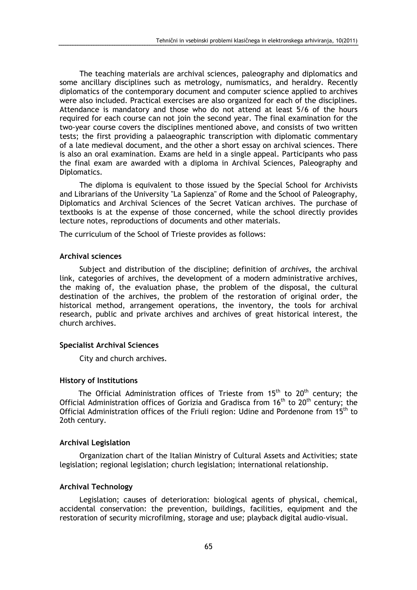The teaching materials are archival sciences, paleography and diplomatics and some ancillary disciplines such as metrology, numismatics, and heraldry. Recently diplomatics of the contemporary document and computer science applied to archives were also included. Practical exercises are also organized for each of the disciplines. Attendance is mandatory and those who do not attend at least 5/6 of the hours required for each course can not join the second year. The final examination for the two-year course covers the disciplines mentioned above, and consists of two written tests; the first providing a palaeographic transcription with diplomatic commentary of a late medieval document, and the other a short essay on archival sciences. There is also an oral examination. Exams are held in a single appeal. Participants who pass the final exam are awarded with a diploma in Archival Sciences, Paleography and Diplomatics.

The diploma is equivalent to those issued by the Special School for Archivists and Librarians of the University "La Sapienza" of Rome and the School of Paleography, Diplomatics and Archival Sciences of the Secret Vatican archives. The purchase of textbooks is at the expense of those concerned, while the school directly provides lecture notes, reproductions of documents and other materials.

The curriculum of the School of Trieste provides as follows:

# Archival sciences

Subject and distribution of the discipline; definition of archives, the archival link, categories of archives, the development of a modern administrative archives, the making of, the evaluation phase, the problem of the disposal, the cultural destination of the archives, the problem of the restoration of original order, the historical method, arrangement operations, the inventory, the tools for archival research, public and private archives and archives of great historical interest, the church archives.

# Specialist Archival Sciences

City and church archives.

# History of Institutions

The Official Administration offices of Trieste from  $15<sup>th</sup>$  to  $20<sup>th</sup>$  century; the Official Administration offices of Gorizia and Gradisca from  $16<sup>th</sup>$  to  $20<sup>th</sup>$  century; the Official Administration offices of the Friuli region: Udine and Pordenone from  $15<sup>th</sup>$  to 2oth century.

#### Archival Legislation

Organization chart of the Italian Ministry of Cultural Assets and Activities; state legislation; regional legislation; church legislation; international relationship.

# Archival Technology

Legislation; causes of deterioration: biological agents of physical, chemical, accidental conservation: the prevention, buildings, facilities, equipment and the restoration of security microfilming, storage and use; playback digital audio-visual.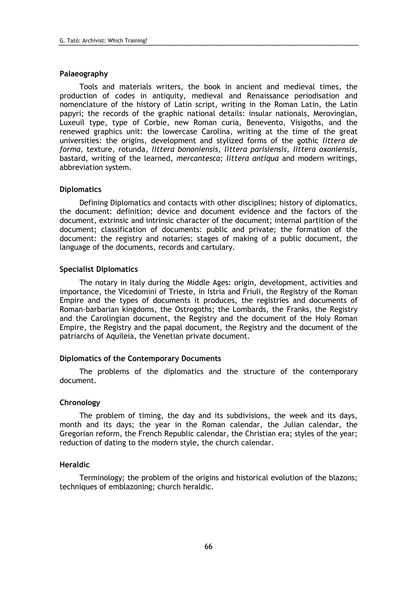# Palaeography

Tools and materials writers, the book in ancient and medieval times, the production of codes in antiquity, medieval and Renaissance periodisation and nomenclature of the history of Latin script, writing in the Roman Latin, the Latin papyri; the records of the graphic national details: insular nationals, Merovingian, Luxeuil type, type of Corbie, new Roman curia, Benevento, Visigoths, and the renewed graphics unit: the lowercase Carolina, writing at the time of the great universities: the origins, development and stylized forms of the gothic littera de forma, texture, rotunda, littera bononiensis, littera parisiensis, littera oxoniensis, bastard, writing of the learned, mercantesca; littera antiqua and modern writings, abbreviation system.

# **Diplomatics**

Defining Diplomatics and contacts with other disciplines; history of diplomatics, the document: definition; device and document evidence and the factors of the document, extrinsic and intrinsic character of the document; internal partition of the document; classification of documents: public and private; the formation of the document: the registry and notaries; stages of making of a public document, the language of the documents, records and cartulary.

# Specialist Diplomatics

The notary in Italy during the Middle Ages: origin, development, activities and importance, the Vicedomini of Trieste, in Istria and Friuli, the Registry of the Roman Empire and the types of documents it produces, the registries and documents of Roman-barbarian kingdoms, the Ostrogoths; the Lombards, the Franks, the Registry and the Carolingian document, the Registry and the document of the Holy Roman Empire, the Registry and the papal document, the Registry and the document of the patriarchs of Aquileia, the Venetian private document.

# Diplomatics of the Contemporary Documents

The problems of the diplomatics and the structure of the contemporary document.

# Chronology

The problem of timing, the day and its subdivisions, the week and its days, month and its days; the year in the Roman calendar, the Julian calendar, the Gregorian reform, the French Republic calendar, the Christian era; styles of the year; reduction of dating to the modern style, the church calendar.

# Heraldic

Terminology; the problem of the origins and historical evolution of the blazons; techniques of emblazoning; church heraldic.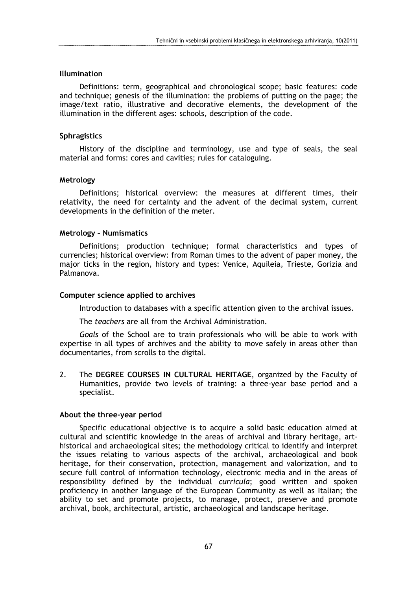# Illumination

Definitions: term, geographical and chronological scope; basic features: code and technique; genesis of the illumination: the problems of putting on the page; the image/text ratio, illustrative and decorative elements, the development of the illumination in the different ages: schools, description of the code.

# **Sphragistics**

History of the discipline and terminology, use and type of seals, the seal material and forms: cores and cavities; rules for cataloguing.

#### Metrology

Definitions; historical overview: the measures at different times, their relativity, the need for certainty and the advent of the decimal system, current developments in the definition of the meter.

#### Metrology – Numismatics

Definitions; production technique; formal characteristics and types of currencies; historical overview: from Roman times to the advent of paper money, the major ticks in the region, history and types: Venice, Aquileia, Trieste, Gorizia and Palmanova.

### Computer science applied to archives

Introduction to databases with a specific attention given to the archival issues.

The teachers are all from the Archival Administration.

Goals of the School are to train professionals who will be able to work with expertise in all types of archives and the ability to move safely in areas other than documentaries, from scrolls to the digital.

2. The DEGREE COURSES IN CULTURAL HERITAGE, organized by the Faculty of Humanities, provide two levels of training: a three-year base period and a specialist.

# About the three-year period

Specific educational objective is to acquire a solid basic education aimed at cultural and scientific knowledge in the areas of archival and library heritage, arthistorical and archaeological sites; the methodology critical to identify and interpret the issues relating to various aspects of the archival, archaeological and book heritage, for their conservation, protection, management and valorization, and to secure full control of information technology, electronic media and in the areas of responsibility defined by the individual *curricula*; good written and spoken proficiency in another language of the European Community as well as Italian; the ability to set and promote projects, to manage, protect, preserve and promote archival, book, architectural, artistic, archaeological and landscape heritage.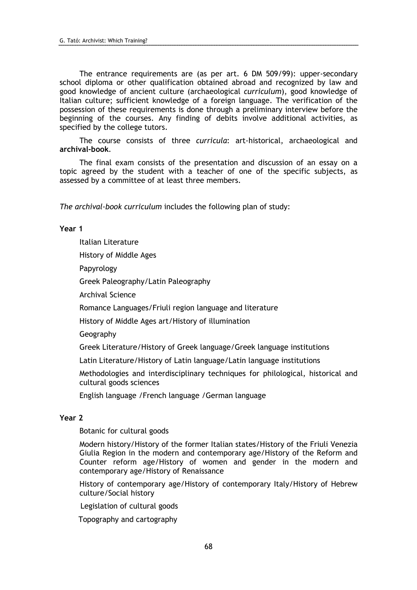The entrance requirements are (as per art. 6 DM 509/99): upper-secondary school diploma or other qualification obtained abroad and recognized by law and good knowledge of ancient culture (archaeological curriculum), good knowledge of Italian culture; sufficient knowledge of a foreign language. The verification of the possession of these requirements is done through a preliminary interview before the beginning of the courses. Any finding of debits involve additional activities, as specified by the college tutors.

The course consists of three curricula: art-historical, archaeological and archival-book.

The final exam consists of the presentation and discussion of an essay on a topic agreed by the student with a teacher of one of the specific subjects, as assessed by a committee of at least three members.

The archival-book curriculum includes the following plan of study:

# Year 1

Italian Literature

History of Middle Ages

Papyrology

Greek Paleography/Latin Paleography

Archival Science

Romance Languages/Friuli region language and literature

History of Middle Ages art/History of illumination

Geography

Greek Literature/History of Greek language/Greek language institutions

Latin Literature/History of Latin language/Latin language institutions

Methodologies and interdisciplinary techniques for philological, historical and cultural goods sciences

English language /French language /German language

# Year 2

Botanic for cultural goods

Modern history/History of the former Italian states/History of the Friuli Venezia Giulia Region in the modern and contemporary age/History of the Reform and Counter reform age/History of women and gender in the modern and contemporary age/History of Renaissance

History of contemporary age/History of contemporary Italy/History of Hebrew culture/Social history

Legislation of cultural goods

Topography and cartography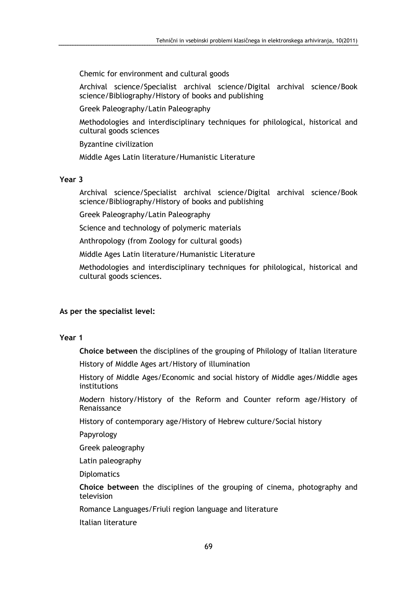Chemic for environment and cultural goods

Archival science/Specialist archival science/Digital archival science/Book science/Bibliography/History of books and publishing

Greek Paleography/Latin Paleography

Methodologies and interdisciplinary techniques for philological, historical and cultural goods sciences

Byzantine civilization

Middle Ages Latin literature/Humanistic Literature

# Year 3

Archival science/Specialist archival science/Digital archival science/Book science/Bibliography/History of books and publishing

Greek Paleography/Latin Paleography

Science and technology of polymeric materials

Anthropology (from Zoology for cultural goods)

Middle Ages Latin literature/Humanistic Literature

Methodologies and interdisciplinary techniques for philological, historical and cultural goods sciences.

# As per the specialist level:

# Year 1

Choice between the disciplines of the grouping of Philology of Italian literature

History of Middle Ages art/History of illumination

History of Middle Ages/Economic and social history of Middle ages/Middle ages institutions

Modern history/History of the Reform and Counter reform age/History of Renaissance

History of contemporary age/History of Hebrew culture/Social history

Papyrology

Greek paleography

Latin paleography

**Diplomatics** 

Choice between the disciplines of the grouping of cinema, photography and television

Romance Languages/Friuli region language and literature

Italian literature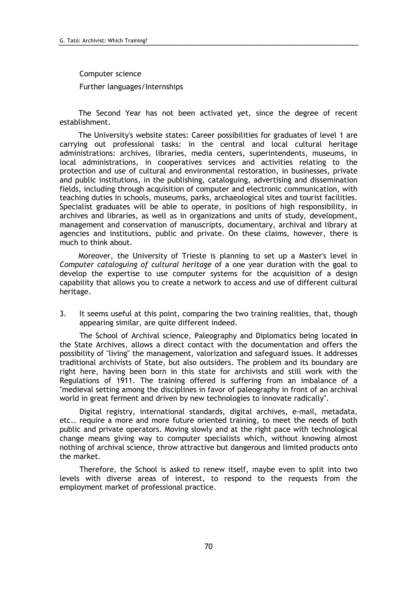# Computer science

Further languages/Internships

The Second Year has not been activated yet, since the degree of recent establishment.

The University's website states: Career possibilities for graduates of level 1 are carrying out professional tasks: in the central and local cultural heritage administrations: archives, libraries, media centers, superintendents, museums, in local administrations, in cooperatives services and activities relating to the protection and use of cultural and environmental restoration, in businesses, private and public institutions, in the publishing, cataloguing, advertising and dissemination fields, including through acquisition of computer and electronic communication, with teaching duties in schools, museums, parks, archaeological sites and tourist facilities. Specialist graduates will be able to operate, in positions of high responsibility, in archives and libraries, as well as in organizations and units of study, development, management and conservation of manuscripts, documentary, archival and library at agencies and institutions, public and private. On these claims, however, there is much to think about.

Moreover, the University of Trieste is planning to set up a Master's level in Computer cataloguing of cultural heritage of a one year duration with the goal to develop the expertise to use computer systems for the acquisition of a design capability that allows you to create a network to access and use of different cultural heritage.

3. It seems useful at this point, comparing the two training realities, that, though appearing similar, are quite different indeed.

The School of Archival science, Paleography and Diplomatics being located in the State Archives, allows a direct contact with the documentation and offers the possibility of "living" the management, valorization and safeguard issues. It addresses traditional archivists of State, but also outsiders. The problem and its boundary are right here, having been born in this state for archivists and still work with the Regulations of 1911. The training offered is suffering from an imbalance of a "medieval setting among the disciplines in favor of paleography in front of an archival world in great ferment and driven by new technologies to innovate radically".

Digital registry, international standards, digital archives, e-mail, metadata, etc.. require a more and more future oriented training, to meet the needs of both public and private operators. Moving slowly and at the right pace with technological change means giving way to computer specialists which, without knowing almost nothing of archival science, throw attractive but dangerous and limited products onto the market.

Therefore, the School is asked to renew itself, maybe even to split into two levels with diverse areas of interest, to respond to the requests from the employment market of professional practice.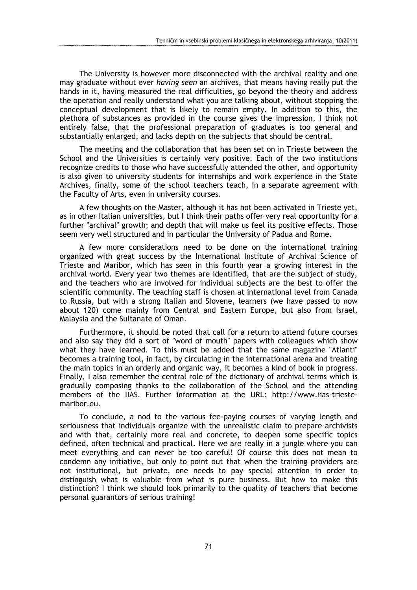The University is however more disconnected with the archival reality and one may graduate without ever *having seen* an archives, that means having really put the hands in it, having measured the real difficulties, go beyond the theory and address the operation and really understand what you are talking about, without stopping the conceptual development that is likely to remain empty. In addition to this, the plethora of substances as provided in the course gives the impression, I think not entirely false, that the professional preparation of graduates is too general and substantially enlarged, and lacks depth on the subjects that should be central.

The meeting and the collaboration that has been set on in Trieste between the School and the Universities is certainly very positive. Each of the two institutions recognize credits to those who have successfully attended the other, and opportunity is also given to university students for internships and work experience in the State Archives, finally, some of the school teachers teach, in a separate agreement with the Faculty of Arts, even in university courses.

A few thoughts on the Master, although it has not been activated in Trieste yet, as in other Italian universities, but I think their paths offer very real opportunity for a further "archival" growth; and depth that will make us feel its positive effects. Those seem very well structured and in particular the University of Padua and Rome.

A few more considerations need to be done on the international training organized with great success by the International Institute of Archival Science of Trieste and Maribor, which has seen in this fourth year a growing interest in the archival world. Every year two themes are identified, that are the subject of study, and the teachers who are involved for individual subjects are the best to offer the scientific community. The teaching staff is chosen at international level from Canada to Russia, but with a strong Italian and Slovene, learners (we have passed to now about 120) come mainly from Central and Eastern Europe, but also from Israel, Malaysia and the Sultanate of Oman.

Furthermore, it should be noted that call for a return to attend future courses and also say they did a sort of "word of mouth" papers with colleagues which show what they have learned. To this must be added that the same magazine "Atlanti" becomes a training tool, in fact, by circulating in the international arena and treating the main topics in an orderly and organic way, it becomes a kind of book in progress. Finally, I also remember the central role of the dictionary of archival terms which is gradually composing thanks to the collaboration of the School and the attending members of the IIAS. Further information at the URL: http://www.iias-triestemaribor.eu.

To conclude, a nod to the various fee-paying courses of varying length and seriousness that individuals organize with the unrealistic claim to prepare archivists and with that, certainly more real and concrete, to deepen some specific topics defined, often technical and practical. Here we are really in a jungle where you can meet everything and can never be too careful! Of course this does not mean to condemn any initiative, but only to point out that when the training providers are not institutional, but private, one needs to pay special attention in order to distinguish what is valuable from what is pure business. But how to make this distinction? I think we should look primarily to the quality of teachers that become personal guarantors of serious training!